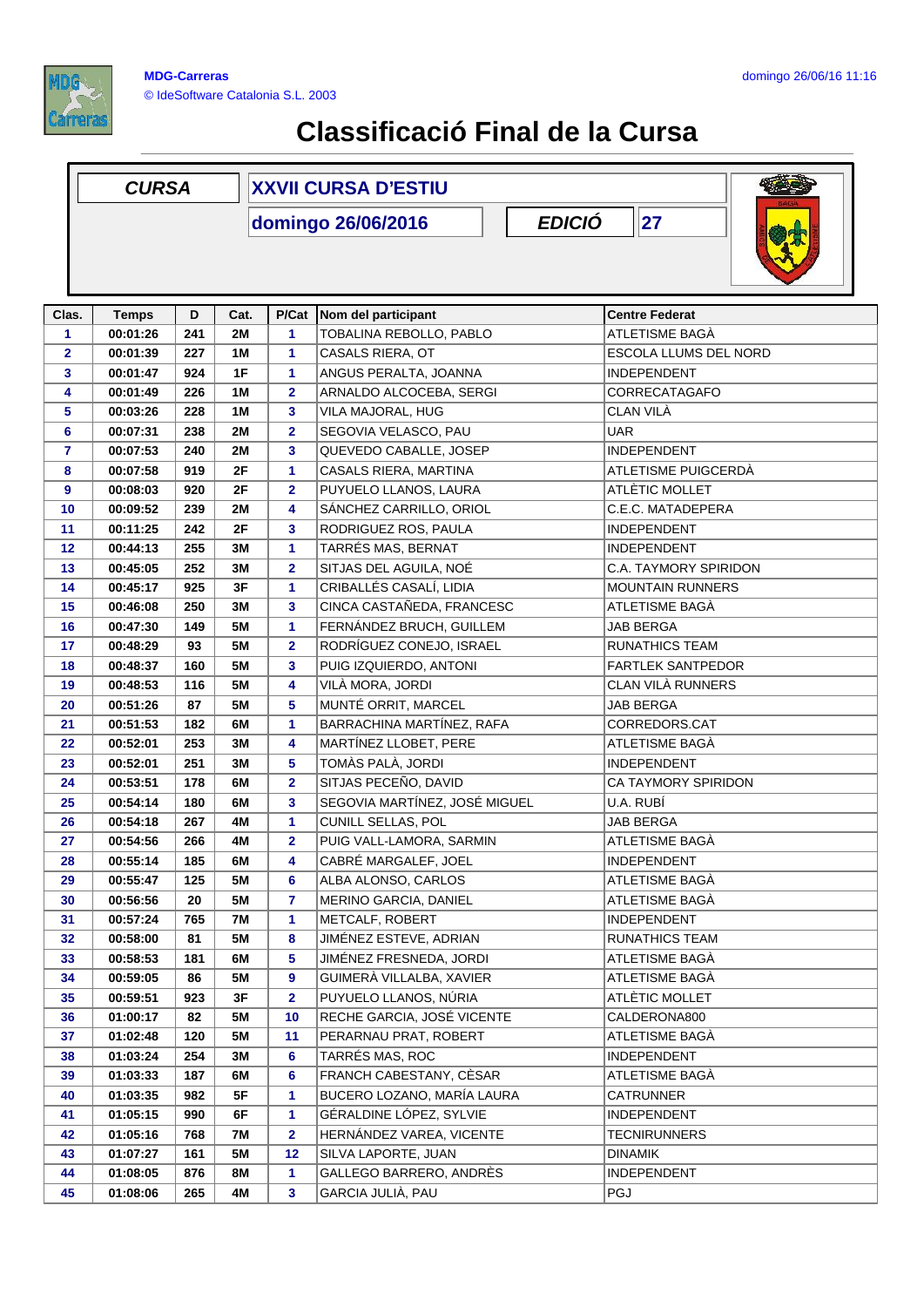

## **Classificació Final de la Cursa**

|                         | <b>CURSA</b>                                |     |           | <b>XXVII CURSA D'ESTIU</b> |                               |                              |  |  |  |
|-------------------------|---------------------------------------------|-----|-----------|----------------------------|-------------------------------|------------------------------|--|--|--|
|                         | <b>EDICIÓ</b><br> 27 <br>domingo 26/06/2016 |     |           |                            |                               |                              |  |  |  |
| Clas.                   | <b>Temps</b>                                | D   | Cat.      | P/Cat                      | Nom del participant           | <b>Centre Federat</b>        |  |  |  |
| 1                       | 00:01:26                                    | 241 | <b>2M</b> | 1                          | TOBALINA REBOLLO, PABLO       | ATLETISME BAGA               |  |  |  |
| $\overline{\mathbf{2}}$ | 00:01:39                                    | 227 | 1M        | 1                          | CASALS RIERA, OT              | <b>ESCOLA LLUMS DEL NORD</b> |  |  |  |
| 3                       | 00:01:47                                    | 924 | 1F        | 1                          | ANGUS PERALTA, JOANNA         | <b>INDEPENDENT</b>           |  |  |  |
| 4                       | 00:01:49                                    | 226 | 1M        | $\overline{\mathbf{2}}$    | ARNALDO ALCOCEBA, SERGI       | CORRECATAGAFO                |  |  |  |
| 5                       | 00:03:26                                    | 228 | 1M        | 3                          | VILA MAJORAL, HUG             | CLAN VILÀ                    |  |  |  |
| 6                       | 00:07:31                                    | 238 | 2M        | $\mathbf{2}$               | SEGOVIA VELASCO, PAU          | <b>UAR</b>                   |  |  |  |
| $\overline{\mathbf{r}}$ | 00:07:53                                    | 240 | 2M        | 3                          | QUEVEDO CABALLE, JOSEP        | <b>INDEPENDENT</b>           |  |  |  |
| 8                       | 00:07:58                                    | 919 | 2F        | 1                          | CASALS RIERA, MARTINA         | ATLETISME PUIGCERDA          |  |  |  |
| 9                       | 00:08:03                                    | 920 | 2F        | $\overline{\mathbf{2}}$    | PUYUELO LLANOS, LAURA         | ATLÈTIC MOLLET               |  |  |  |
| 10                      | 00:09:52                                    | 239 | 2M        | 4                          | SÁNCHEZ CARRILLO, ORIOL       | C.E.C. MATADEPERA            |  |  |  |
| 11                      | 00:11:25                                    | 242 | 2F        | 3                          | RODRIGUEZ ROS, PAULA          | <b>INDEPENDENT</b>           |  |  |  |
| 12                      | 00:44:13                                    | 255 | 3M        | 1                          | TARRÉS MAS, BERNAT            | <b>INDEPENDENT</b>           |  |  |  |
| 13                      | 00:45:05                                    | 252 | ЗM        | 2                          | SITJAS DEL AGUILA, NOÉ        | C.A. TAYMORY SPIRIDON        |  |  |  |
| 14                      | 00:45:17                                    | 925 | 3F        | 1                          | CRIBALLÉS CASALÍ, LIDIA       | <b>MOUNTAIN RUNNERS</b>      |  |  |  |
| 15                      | 00:46:08                                    | 250 | 3M        | 3                          | CINCA CASTAÑEDA, FRANCESC     | ATLETISME BAGÀ               |  |  |  |
| 16                      | 00:47:30                                    | 149 | <b>5M</b> | 1                          | FERNÁNDEZ BRUCH, GUILLEM      | <b>JAB BERGA</b>             |  |  |  |
| 17                      | 00:48:29                                    | 93  | <b>5M</b> | $\mathbf{2}$               | RODRÍGUEZ CONEJO, ISRAEL      | <b>RUNATHICS TEAM</b>        |  |  |  |
| 18                      | 00:48:37                                    | 160 | 5M        | 3                          | PUIG IZQUIERDO, ANTONI        | <b>FARTLEK SANTPEDOR</b>     |  |  |  |
| 19                      | 00:48:53                                    | 116 | <b>5M</b> | 4                          | VILÀ MORA, JORDI              | CLAN VILÀ RUNNERS            |  |  |  |
| 20                      | 00:51:26                                    | 87  | <b>5M</b> | 5                          | MUNTÉ ORRIT, MARCEL           | JAB BERGA                    |  |  |  |
| 21                      | 00:51:53                                    | 182 | 6M        | 1                          | BARRACHINA MARTÍNEZ, RAFA     | CORREDORS.CAT                |  |  |  |
| 22                      | 00:52:01                                    | 253 | 3M        | 4                          | MARTÍNEZ LLOBET, PERE         | ATLETISME BAGÀ               |  |  |  |
| 23                      | 00:52:01                                    | 251 | 3M        | 5                          | TOMÀS PALÀ, JORDI             | <b>INDEPENDENT</b>           |  |  |  |
| 24                      | 00:53:51                                    | 178 | 6M        | $\mathbf 2$                | SITJAS PECEÑO, DAVID          | CA TAYMORY SPIRIDON          |  |  |  |
| 25                      | 00:54:14                                    | 180 | 6M        | 3                          | SEGOVIA MARTÍNEZ, JOSÉ MIGUEL | U.A. RUBÍ                    |  |  |  |
| 26                      | 00:54:18                                    | 267 | 4M        | 1                          | <b>CUNILL SELLAS, POL</b>     | <b>JAB BERGA</b>             |  |  |  |
| 27                      | 00:54:56                                    | 266 | 4M        | $\mathbf{2}$               | PUIG VALL-LAMORA, SARMIN      | ATLETISME BAGÀ               |  |  |  |
| 28                      | 00:55:14                                    | 185 | 6M        | 4                          | CABRÉ MARGALEF, JOEL          | <b>INDEPENDENT</b>           |  |  |  |
| 29                      | 00:55:47                                    | 125 | 5M        | 6                          | ALBA ALONSO, CARLOS           | ATLETISME BAGÀ               |  |  |  |
| 30                      | 00:56:56                                    | 20  | 5M        | 7                          | MERINO GARCIA, DANIEL         | ATLETISME BAGÀ               |  |  |  |
| 31                      | 00:57:24                                    | 765 | 7M        | 1                          | METCALF, ROBERT               | <b>INDEPENDENT</b>           |  |  |  |
| 32                      | 00:58:00                                    | 81  | 5M        | 8                          | JIMÉNEZ ESTEVE, ADRIAN        | RUNATHICS TEAM               |  |  |  |
| 33                      | 00:58:53                                    | 181 | 6M        | 5                          | JIMÉNEZ FRESNEDA, JORDI       | ATLETISME BAGÀ               |  |  |  |
| 34                      | 00:59:05                                    | 86  | 5M        | 9                          | GUIMERÀ VILLALBA, XAVIER      | ATLETISME BAGÀ               |  |  |  |
| 35                      | 00:59:51                                    | 923 | 3F        | 2                          | PUYUELO LLANOS, NÚRIA         | ATLÈTIC MOLLET               |  |  |  |
| 36                      | 01:00:17                                    | 82  | 5M        | 10                         | RECHE GARCIA, JOSÉ VICENTE    | CALDERONA800                 |  |  |  |
| 37                      | 01:02:48                                    | 120 | 5M        | 11                         | PERARNAU PRAT, ROBERT         | ATLETISME BAGÀ               |  |  |  |
| 38                      | 01:03:24                                    | 254 | 3M        | 6                          | TARRÉS MAS, ROC               | <b>INDEPENDENT</b>           |  |  |  |
| 39                      | 01:03:33                                    | 187 | 6M        | 6                          | FRANCH CABESTANY, CÈSAR       | ATLETISME BAGÀ               |  |  |  |
| 40                      | 01:03:35                                    | 982 | 5F        | 1                          | BUCERO LOZANO, MARÍA LAURA    | CATRUNNER                    |  |  |  |
| 41                      | 01:05:15                                    | 990 | 6F        | 1                          | GÉRALDINE LÓPEZ, SYLVIE       | <b>INDEPENDENT</b>           |  |  |  |
| 42                      | 01:05:16                                    | 768 | 7M        | $\overline{2}$             | HERNÁNDEZ VAREA, VICENTE      | <b>TECNIRUNNERS</b>          |  |  |  |
| 43                      | 01:07:27                                    | 161 | 5M        | 12                         | SILVA LAPORTE, JUAN           | <b>DINAMIK</b>               |  |  |  |
| 44                      | 01:08:05                                    | 876 | 8M        | 1                          | GALLEGO BARRERO, ANDRÈS       | <b>INDEPENDENT</b>           |  |  |  |
| 45                      | 01:08:06                                    | 265 | 4M        | 3                          | GARCIA JULIÀ, PAU             | PGJ                          |  |  |  |